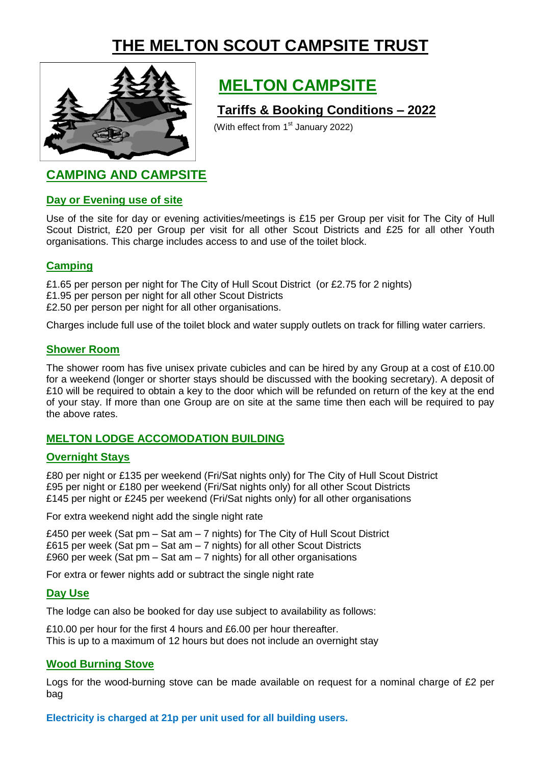# **THE MELTON SCOUT CAMPSITE TRUST**



# **MELTON CAMPSITE**

## **Tariffs & Booking Conditions – 2022**

(With effect from  $1<sup>st</sup>$  January 2022)

# **CAMPING AND CAMPSITE**

### **Day or Evening use of site**

Use of the site for day or evening activities/meetings is £15 per Group per visit for The City of Hull Scout District, £20 per Group per visit for all other Scout Districts and £25 for all other Youth organisations. This charge includes access to and use of the toilet block.

## **Camping**

£1.65 per person per night for The City of Hull Scout District (or £2.75 for 2 nights)

£1.95 per person per night for all other Scout Districts

£2.50 per person per night for all other organisations.

Charges include full use of the toilet block and water supply outlets on track for filling water carriers.

## **Shower Room**

The shower room has five unisex private cubicles and can be hired by any Group at a cost of £10.00 for a weekend (longer or shorter stays should be discussed with the booking secretary). A deposit of £10 will be required to obtain a key to the door which will be refunded on return of the key at the end of your stay. If more than one Group are on site at the same time then each will be required to pay the above rates.

## **MELTON LODGE ACCOMODATION BUILDING**

## **Overnight Stays**

£80 per night or £135 per weekend (Fri/Sat nights only) for The City of Hull Scout District £95 per night or £180 per weekend (Fri/Sat nights only) for all other Scout Districts £145 per night or £245 per weekend (Fri/Sat nights only) for all other organisations

For extra weekend night add the single night rate

£450 per week (Sat pm – Sat am – 7 nights) for The City of Hull Scout District £615 per week (Sat pm – Sat am – 7 nights) for all other Scout Districts £960 per week (Sat pm  $-$  Sat am  $-$  7 nights) for all other organisations

For extra or fewer nights add or subtract the single night rate

## **Day Use**

The lodge can also be booked for day use subject to availability as follows:

£10.00 per hour for the first 4 hours and £6.00 per hour thereafter. This is up to a maximum of 12 hours but does not include an overnight stay

## **Wood Burning Stove**

Logs for the wood-burning stove can be made available on request for a nominal charge of £2 per bag

**Electricity is charged at 21p per unit used for all building users.**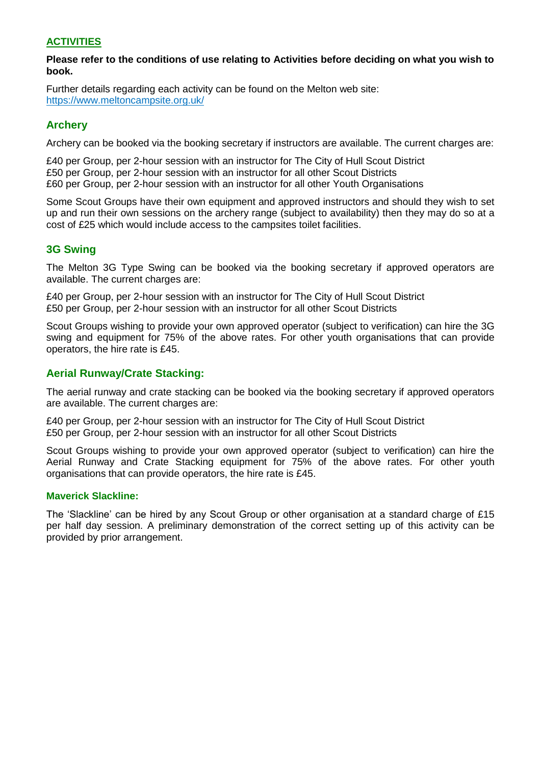#### **ACTIVITIES**

#### **Please refer to the conditions of use relating to Activities before deciding on what you wish to book.**

Further details regarding each activity can be found on the Melton web site: https://www.meltoncampsite.org.uk/

#### **Archery**

Archery can be booked via the booking secretary if instructors are available. The current charges are:

£40 per Group, per 2-hour session with an instructor for The City of Hull Scout District £50 per Group, per 2-hour session with an instructor for all other Scout Districts £60 per Group, per 2-hour session with an instructor for all other Youth Organisations

Some Scout Groups have their own equipment and approved instructors and should they wish to set up and run their own sessions on the archery range (subject to availability) then they may do so at a cost of £25 which would include access to the campsites toilet facilities.

### **3G Swing**

The Melton 3G Type Swing can be booked via the booking secretary if approved operators are available. The current charges are:

£40 per Group, per 2-hour session with an instructor for The City of Hull Scout District £50 per Group, per 2-hour session with an instructor for all other Scout Districts

Scout Groups wishing to provide your own approved operator (subject to verification) can hire the 3G swing and equipment for 75% of the above rates. For other youth organisations that can provide operators, the hire rate is £45.

#### **Aerial Runway/Crate Stacking:**

The aerial runway and crate stacking can be booked via the booking secretary if approved operators are available. The current charges are:

£40 per Group, per 2-hour session with an instructor for The City of Hull Scout District £50 per Group, per 2-hour session with an instructor for all other Scout Districts

Scout Groups wishing to provide your own approved operator (subject to verification) can hire the Aerial Runway and Crate Stacking equipment for 75% of the above rates. For other youth organisations that can provide operators, the hire rate is £45.

#### **Maverick Slackline:**

The 'Slackline' can be hired by any Scout Group or other organisation at a standard charge of £15 per half day session. A preliminary demonstration of the correct setting up of this activity can be provided by prior arrangement.